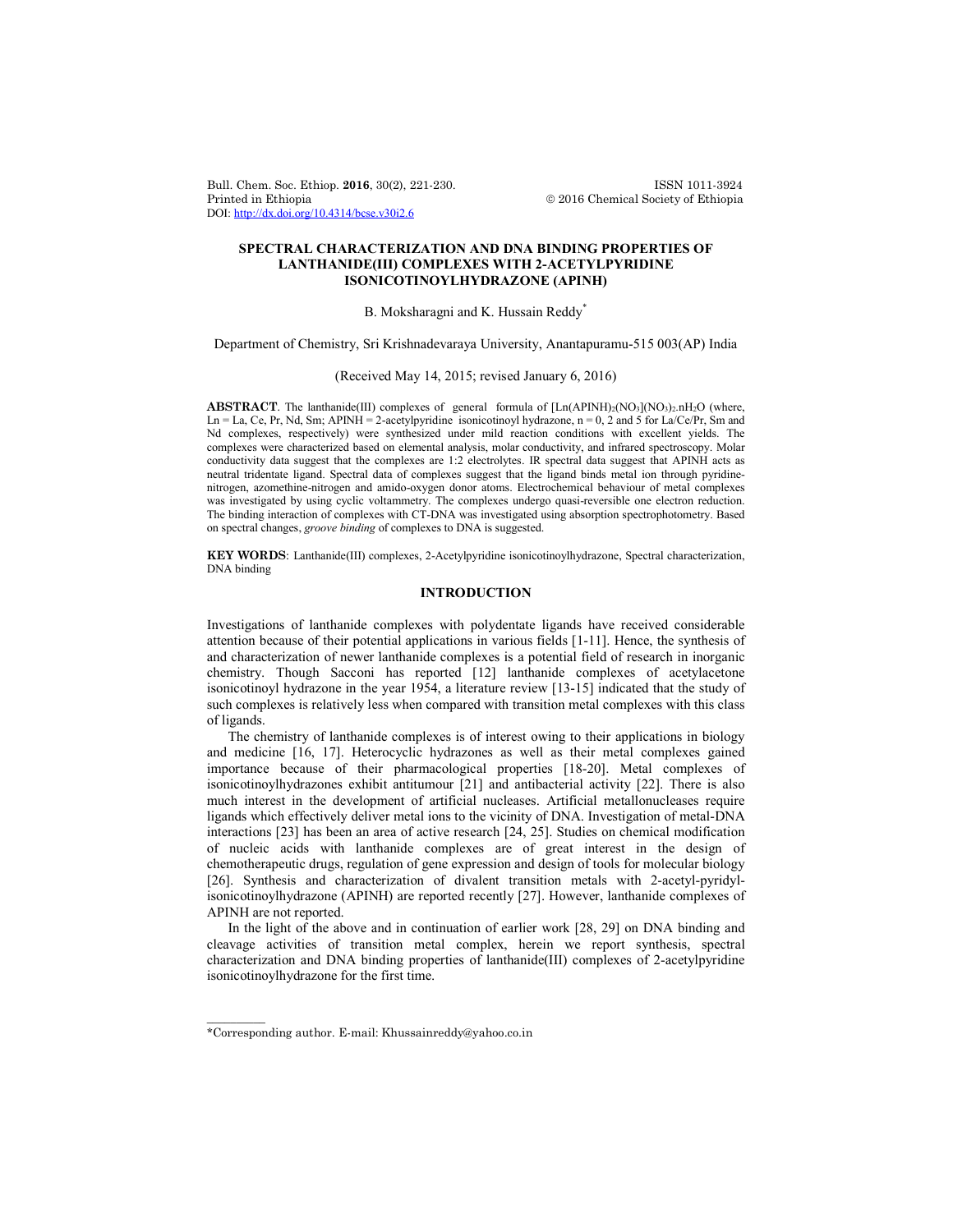Bull. Chem. Soc. Ethiop. **2016**, 30(2), 221-230. ISSN 1011-3924 DOI: http://dx.doi.org/10.4314/bcse.v30i2.6

 $© 2016 Chemical Society of Ethiopia$ 

# **SPECTRAL CHARACTERIZATION AND DNA BINDING PROPERTIES OF LANTHANIDE(III) COMPLEXES WITH 2-ACETYLPYRIDINE ISONICOTINOYLHYDRAZONE (APINH)**

#### B. Moksharagni and K. Hussain Reddy<sup>\*</sup>

Department of Chemistry, Sri Krishnadevaraya University, Anantapuramu-515 003(AP) India

## (Received May 14, 2015; revised January 6, 2016)

**ABSTRACT**. The lanthanide(III) complexes of general formula of  $[Ln(APINH)<sub>2</sub>(NO<sub>3</sub>)(NO<sub>3</sub>)<sub>2</sub>.nH<sub>2</sub>O$  (where, Ln = La, Ce, Pr, Nd, Sm; APINH = 2-acetylpyridine isonicotinoyl hydrazone, n = 0, 2 and 5 for La/Ce/Pr, Sm and Nd complexes, respectively) were synthesized under mild reaction conditions with excellent yields. The complexes were characterized based on elemental analysis, molar conductivity, and infrared spectroscopy. Molar conductivity data suggest that the complexes are 1:2 electrolytes. IR spectral data suggest that APINH acts as neutral tridentate ligand. Spectral data of complexes suggest that the ligand binds metal ion through pyridinenitrogen, azomethine-nitrogen and amido-oxygen donor atoms. Electrochemical behaviour of metal complexes was investigated by using cyclic voltammetry. The complexes undergo quasi-reversible one electron reduction. The binding interaction of complexes with CT-DNA was investigated using absorption spectrophotometry. Based on spectral changes, *groove binding* of complexes to DNA is suggested.

**KEY WORDS**: Lanthanide(III) complexes, 2-Acetylpyridine isonicotinoylhydrazone, Spectral characterization, DNA binding

## **INTRODUCTION**

Investigations of lanthanide complexes with polydentate ligands have received considerable attention because of their potential applications in various fields [1-11]. Hence, the synthesis of and characterization of newer lanthanide complexes is a potential field of research in inorganic chemistry. Though Sacconi has reported [12] lanthanide complexes of acetylacetone isonicotinoyl hydrazone in the year 1954, a literature review [13-15] indicated that the study of such complexes is relatively less when compared with transition metal complexes with this class of ligands.

The chemistry of lanthanide complexes is of interest owing to their applications in biology and medicine [16, 17]. Heterocyclic hydrazones as well as their metal complexes gained importance because of their pharmacological properties [18-20]. Metal complexes of isonicotinoylhydrazones exhibit antitumour [21] and antibacterial activity [22]. There is also much interest in the development of artificial nucleases. Artificial metallonucleases require ligands which effectively deliver metal ions to the vicinity of DNA. Investigation of metal-DNA interactions [23] has been an area of active research [24, 25]. Studies on chemical modification of nucleic acids with lanthanide complexes are of great interest in the design of chemotherapeutic drugs, regulation of gene expression and design of tools for molecular biology [26]. Synthesis and characterization of divalent transition metals with 2-acetyl-pyridylisonicotinoylhydrazone (APINH) are reported recently [27]. However, lanthanide complexes of APINH are not reported.

In the light of the above and in continuation of earlier work [28, 29] on DNA binding and cleavage activities of transition metal complex, herein we report synthesis, spectral characterization and DNA binding properties of lanthanide(III) complexes of 2-acetylpyridine isonicotinoylhydrazone for the first time.

 $\overline{\phantom{a}}$ 

<sup>\*</sup>Corresponding author. E-mail: Khussainreddy@yahoo.co.in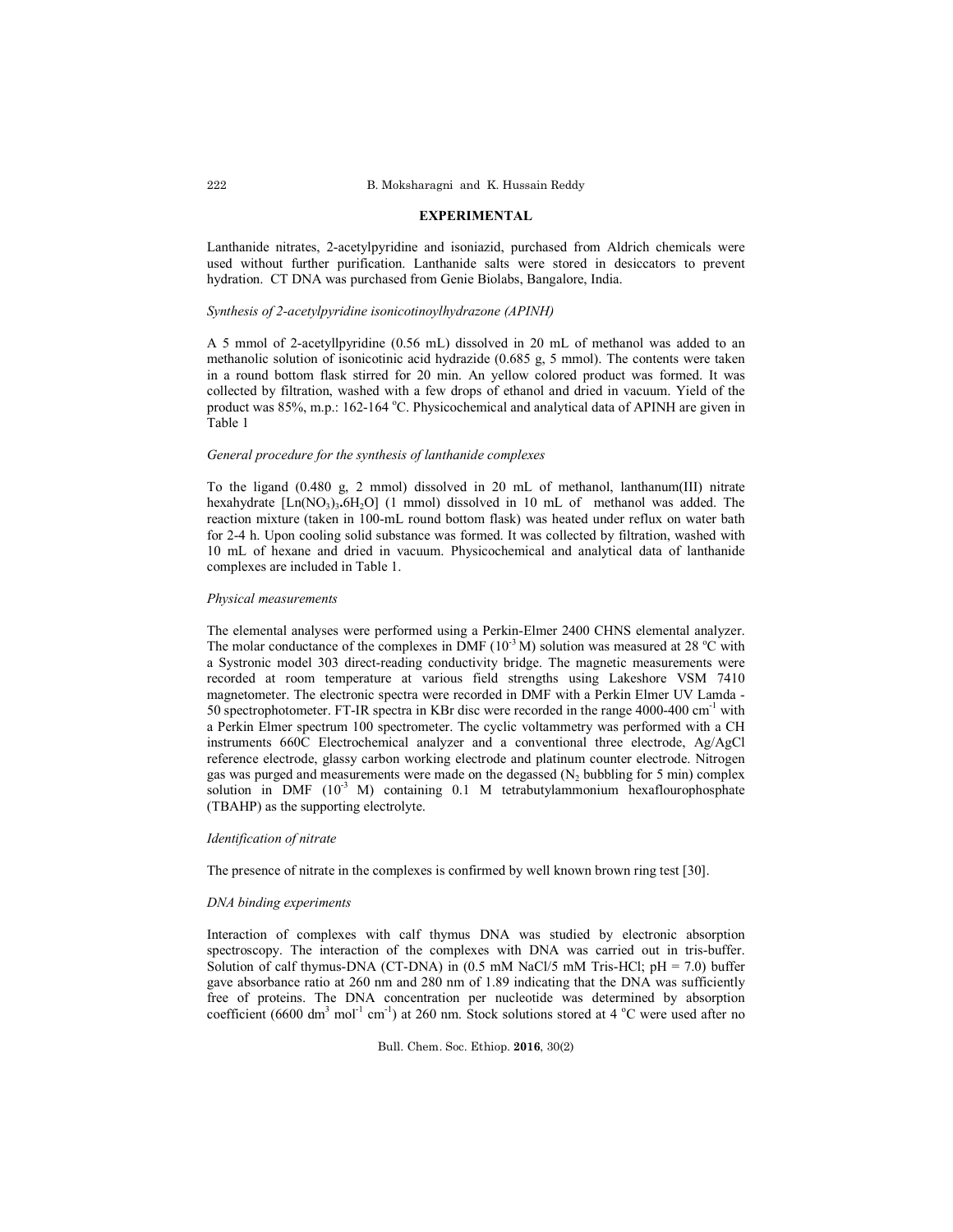#### **EXPERIMENTAL**

Lanthanide nitrates, 2-acetylpyridine and isoniazid, purchased from Aldrich chemicals were used without further purification. Lanthanide salts were stored in desiccators to prevent hydration. CT DNA was purchased from Genie Biolabs, Bangalore, India.

#### *Synthesis of 2-acetylpyridine isonicotinoylhydrazone (APINH)*

A 5 mmol of 2-acetyllpyridine (0.56 mL) dissolved in 20 mL of methanol was added to an methanolic solution of isonicotinic acid hydrazide (0.685 g, 5 mmol). The contents were taken in a round bottom flask stirred for 20 min. An yellow colored product was formed. It was collected by filtration, washed with a few drops of ethanol and dried in vacuum. Yield of the product was 85%, m.p.: 162-164 °C. Physicochemical and analytical data of APINH are given in Table 1

## *General procedure for the synthesis of lanthanide complexes*

To the ligand (0.480 g, 2 mmol) dissolved in 20 mL of methanol, lanthanum(III) nitrate hexahydrate [Ln(NO<sub>3</sub>)<sub>3</sub>.6H<sub>2</sub>O] (1 mmol) dissolved in 10 mL of methanol was added. The reaction mixture (taken in 100-mL round bottom flask) was heated under reflux on water bath for 2-4 h. Upon cooling solid substance was formed. It was collected by filtration, washed with 10 mL of hexane and dried in vacuum. Physicochemical and analytical data of lanthanide complexes are included in Table 1.

### *Physical measurements*

The elemental analyses were performed using a Perkin-Elmer 2400 CHNS elemental analyzer. The molar conductance of the complexes in DMF  $(10<sup>3</sup> M)$  solution was measured at 28 °C with a Systronic model 303 direct-reading conductivity bridge. The magnetic measurements were recorded at room temperature at various field strengths using Lakeshore VSM 7410 magnetometer. The electronic spectra were recorded in DMF with a Perkin Elmer UV Lamda - 50 spectrophotometer. FT-IR spectra in KBr disc were recorded in the range 4000-400 cm-1 with a Perkin Elmer spectrum 100 spectrometer. The cyclic voltammetry was performed with a CH instruments 660C Electrochemical analyzer and a conventional three electrode, Ag/AgCl reference electrode, glassy carbon working electrode and platinum counter electrode. Nitrogen gas was purged and measurements were made on the degassed  $(N_2)$  bubbling for 5 min) complex solution in DMF  $(10^{-3}$  M) containing 0.1 M tetrabutylammonium hexaflourophosphate (TBAHP) as the supporting electrolyte.

# *Identification of nitrate*

The presence of nitrate in the complexes is confirmed by well known brown ring test [30].

### *DNA binding experiments*

Interaction of complexes with calf thymus DNA was studied by electronic absorption spectroscopy. The interaction of the complexes with DNA was carried out in tris-buffer. Solution of calf thymus-DNA (CT-DNA) in (0.5 mM NaCl/5 mM Tris-HCl; pH = 7.0) buffer gave absorbance ratio at 260 nm and 280 nm of 1.89 indicating that the DNA was sufficiently free of proteins. The DNA concentration per nucleotide was determined by absorption coefficient (6600 dm<sup>3</sup> mol<sup>-1</sup> cm<sup>-1</sup>) at 260 nm. Stock solutions stored at 4  $^{\circ}$ C were used after no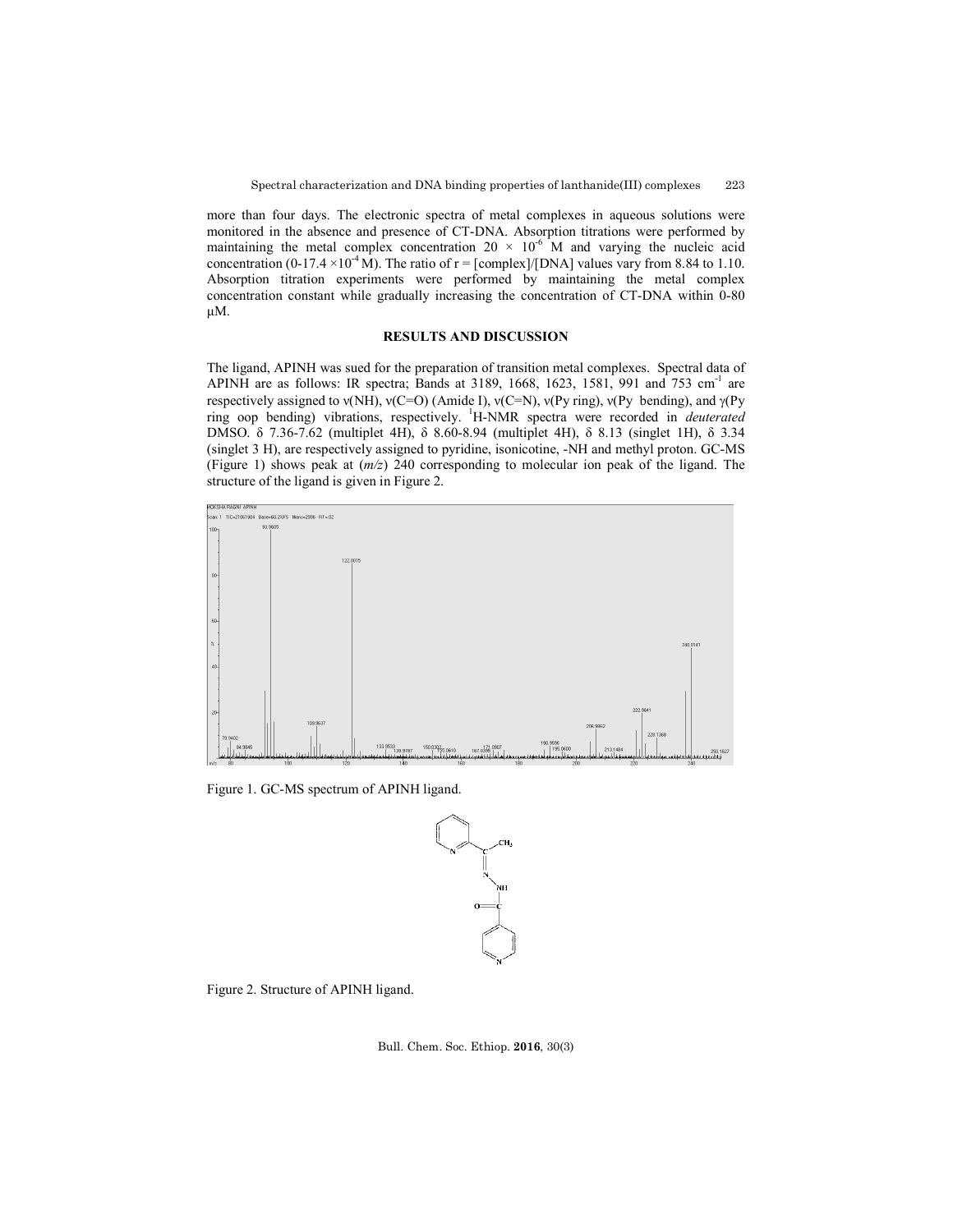more than four days. The electronic spectra of metal complexes in aqueous solutions were monitored in the absence and presence of CT-DNA. Absorption titrations were performed by maintaining the metal complex concentration  $20 \times 10^{-6}$  M and varying the nucleic acid concentration (0-17.4 ×10<sup>-4</sup> M). The ratio of r = [complex]/[DNA] values vary from 8.84 to 1.10. Absorption titration experiments were performed by maintaining the metal complex concentration constant while gradually increasing the concentration of CT-DNA within 0-80 μM.

### **RESULTS AND DISCUSSION**

The ligand, APINH was sued for the preparation of transition metal complexes. Spectral data of APINH are as follows: IR spectra; Bands at 3189, 1668, 1623, 1581, 991 and 753 cm<sup>-1</sup> are respectively assigned to  $v(NH)$ ,  $v(C=O)$  (Amide I),  $v(C=N)$ ,  $v(Py \text{ ring})$ ,  $v(Py \text{ bending})$ , and  $\gamma(Py \text{ ring})$ ring oop bending) vibrations, respectively. <sup>1</sup> H-NMR spectra were recorded in *deuterated* DMSO. δ 7.36-7.62 (multiplet 4H), δ 8.60-8.94 (multiplet 4H), δ 8.13 (singlet 1H), δ 3.34 (singlet 3 H), are respectively assigned to pyridine, isonicotine, -NH and methyl proton. GC-MS (Figure 1) shows peak at (*m/z*) 240 corresponding to molecular ion peak of the ligand. The structure of the ligand is given in Figure 2.



Figure 1. GC-MS spectrum of APINH ligand.



Figure 2. Structure of APINH ligand.

Bull. Chem. Soc. Ethiop. **2016**, 30(3)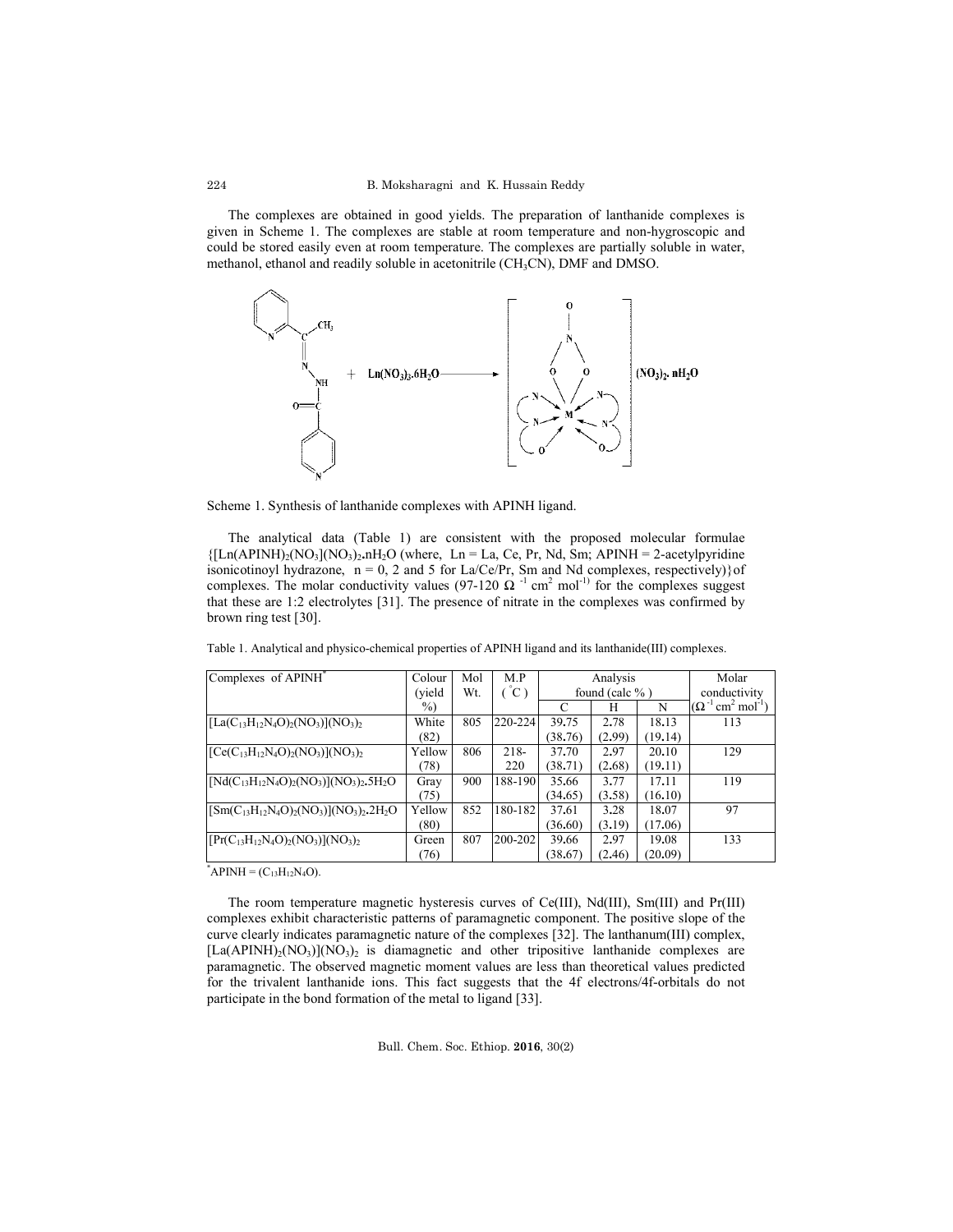The complexes are obtained in good yields. The preparation of lanthanide complexes is given in Scheme 1. The complexes are stable at room temperature and non-hygroscopic and could be stored easily even at room temperature. The complexes are partially soluble in water, methanol, ethanol and readily soluble in acetonitrile (CH<sub>3</sub>CN), DMF and DMSO.



Scheme 1. Synthesis of lanthanide complexes with APINH ligand.

The analytical data (Table 1) are consistent with the proposed molecular formulae  ${[\text{Ln}(APINH)_2(NO_3](NO_3)_2,nH_2O$$  (where, Ln = La, Ce, Pr, Nd, Sm; APINH = 2-acetylpyridine isonicotinoyl hydrazone,  $n = 0$ , 2 and 5 for La/Ce/Pr, Sm and Nd complexes, respectively) of complexes. The molar conductivity values (97-120  $\Omega^{-1}$  cm<sup>2</sup> mol<sup>-1)</sup> for the complexes suggest that these are 1:2 electrolytes [31]. The presence of nitrate in the complexes was confirmed by brown ring test [30].

|  |  |  | Table 1. Analytical and physico-chemical properties of APINH ligand and its lanthanide(III) complexes. |  |
|--|--|--|--------------------------------------------------------------------------------------------------------|--|
|  |  |  |                                                                                                        |  |

| Complexes of APINH                                    | Colour | Mol | M.P         | Analysis           |        |         | Molar                                                         |
|-------------------------------------------------------|--------|-----|-------------|--------------------|--------|---------|---------------------------------------------------------------|
|                                                       | (yield | Wt. | $C^{\circ}$ | found (calc $\%$ ) |        |         | conductivity                                                  |
|                                                       | $\%$   |     |             | C                  | H      | N       | $\sim$ cm <sup>2</sup> mol <sup>-1</sup> )<br>$(\Omega^{-1})$ |
| $[La(C_{13}H_{12}N_4O)_2(NO_3)](NO_3)_2$              | White  | 805 | 220-224     | 39.75              | 2.78   | 18.13   | 113                                                           |
|                                                       | (82)   |     |             | (38.76)            | (2.99) | (19.14) |                                                               |
| $[Ce(C_{13}H_{12}N_4O)_2(NO_3)](NO_3)_2$              | Yellow | 806 | $218-$      | 37.70              | 2.97   | 20.10   | 129                                                           |
|                                                       | (78)   |     | 220         | (38.71)            | (2.68) | (19.11) |                                                               |
| $[Nd(C_{13}H_{12}N_4O)_2(NO_3)](NO_3)_2.5H_2O$        | Gray   | 900 | 188-190     | 35.66              | 3.77   | 17.11   | 119                                                           |
|                                                       | (75)   |     |             | (34.65)            | (3.58) | (16.10) |                                                               |
| $[\text{Sm}(C_{13}H_{12}N_4O)_2(NO_3)](NO_3)_2.2H_2O$ | Yellow | 852 | 180-1821    | 37.61              | 3.28   | 18.07   | 97                                                            |
|                                                       | (80)   |     |             | (36.60)            | (3.19) | (17.06) |                                                               |
| $[Pr(C_{13}H_{12}N_4O)_2(NO_3)](NO_3)_2$              | Green  | 807 | 200-202     | 39.66              | 2.97   | 19.08   | 133                                                           |
|                                                       | (76)   |     |             | (38.67)            | (2.46) | (20.09) |                                                               |

 $APPINH = (C_{13}H_{12}N_4O).$ 

The room temperature magnetic hysteresis curves of Ce(III), Nd(III), Sm(III) and Pr(III) complexes exhibit characteristic patterns of paramagnetic component. The positive slope of the curve clearly indicates paramagnetic nature of the complexes [32]. The lanthanum(III) complex,  $[La(APINH)<sub>2</sub>(NO<sub>3</sub>)](NO<sub>3</sub>)<sub>2</sub>$  is diamagnetic and other tripositive lanthanide complexes are paramagnetic. The observed magnetic moment values are less than theoretical values predicted for the trivalent lanthanide ions. This fact suggests that the 4f electrons/4f-orbitals do not participate in the bond formation of the metal to ligand [33].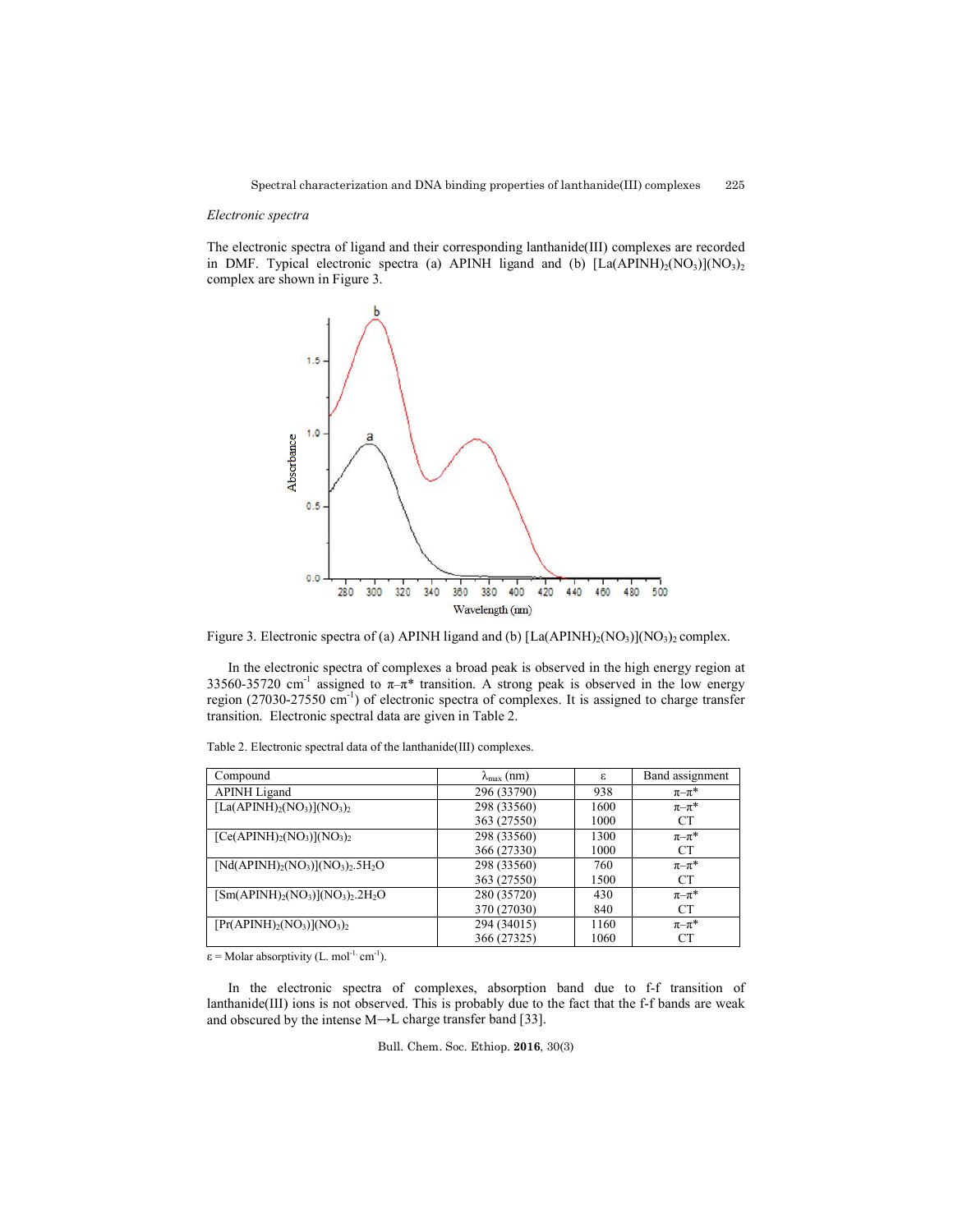#### *Electronic spectra*

The electronic spectra of ligand and their corresponding lanthanide(III) complexes are recorded in DMF. Typical electronic spectra (a) APINH ligand and (b)  $[La(APINH)<sub>2</sub>(NO<sub>3</sub>)](NO<sub>3</sub>)<sub>2</sub>$ complex are shown in Figure 3.



Figure 3. Electronic spectra of (a) APINH ligand and (b)  $[La(APINH)<sub>2</sub>(NO<sub>3</sub>)](NO<sub>3</sub>)<sub>2</sub> complex.$ 

In the electronic spectra of complexes a broad peak is observed in the high energy region at 33560-35720 cm<sup>-1</sup> assigned to  $\pi-\pi^*$  transition. A strong peak is observed in the low energy region (27030-27550 cm<sup>-1</sup>) of electronic spectra of complexes. It is assigned to charge transfer transition. Electronic spectral data are given in Table 2.

| Compound                       | $\lambda_{\text{max}}$ (nm) | ε    | Band assignment |
|--------------------------------|-----------------------------|------|-----------------|
| <b>APINH</b> Ligand            | 296 (33790)                 | 938  | $\pi-\pi^*$     |
| $[La(APINH)2(NO3)](NO3)2$      | 298 (33560)                 | 1600 | $\pi-\pi^*$     |
|                                | 363 (27550)                 | 1000 | CT.             |
| $[Ce(APINH)2(NO3)](NO3)2$      | 298 (33560)                 | 1300 | $\pi-\pi^*$     |
|                                | 366 (27330)                 | 1000 | CT.             |
| $[Nd(APINH)2(NO3)](NO3)2.5H2O$ | 298 (33560)                 | 760  | $\pi-\pi^*$     |
|                                | 363 (27550)                 | 1500 | <b>CT</b>       |
| $[Sm(APINH)2(NO3)](NO3)2.2H2O$ | 280 (35720)                 | 430  | $\pi-\pi^*$     |
|                                | 370 (27030)                 | 840  | CT.             |
| $[Pr(APINH)2(NO3)](NO3)2$      | 294 (34015)                 | 1160 | $\pi-\pi^*$     |
|                                | 366 (27325)                 | 1060 | CT.             |

Table 2. Electronic spectral data of the lanthanide(III) complexes.

 $\varepsilon$  = Molar absorptivity (L. mol<sup>-1.</sup> cm<sup>-1</sup>).

In the electronic spectra of complexes, absorption band due to f-f transition of lanthanide(III) ions is not observed. This is probably due to the fact that the f-f bands are weak and obscured by the intense M→L charge transfer band [33].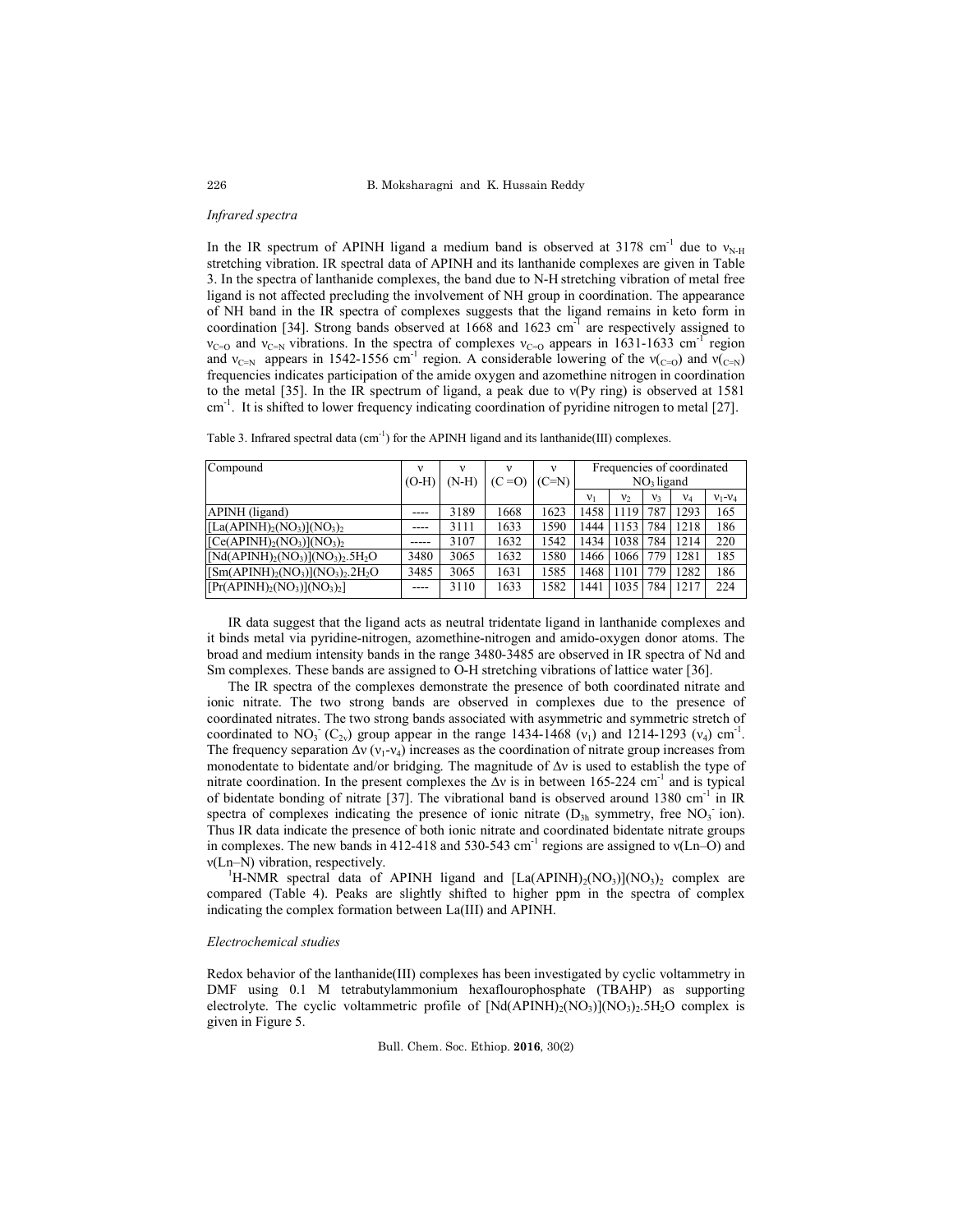### *Infrared spectra*

In the IR spectrum of APINH ligand a medium band is observed at 3178 cm<sup>-1</sup> due to  $v_{N-H}$ stretching vibration. IR spectral data of APINH and its lanthanide complexes are given in Table 3. In the spectra of lanthanide complexes, the band due to N-H stretching vibration of metal free ligand is not affected precluding the involvement of NH group in coordination. The appearance of NH band in the IR spectra of complexes suggests that the ligand remains in keto form in coordination [34]. Strong bands observed at  $1668$  and  $1623$  cm<sup>-1</sup> are respectively assigned to  $v_{C=0}$  and  $v_{C=N}$  vibrations. In the spectra of complexes  $v_{C=0}$  appears in 1631-1633 cm<sup>-1</sup> region and  $v_{C=N}$  appears in 1542-1556 cm<sup>-1</sup> region. A considerable lowering of the  $v_{C=0}$ ) and  $v_{C=N}$ frequencies indicates participation of the amide oxygen and azomethine nitrogen in coordination to the metal [35]. In the IR spectrum of ligand, a peak due to ν(Py ring) is observed at 1581 cm<sup>-1</sup>. It is shifted to lower frequency indicating coordination of pyridine nitrogen to metal [27].

| Compound                        |         |         | ν       | ν       |                |                |              | Frequencies of coordinated |             |
|---------------------------------|---------|---------|---------|---------|----------------|----------------|--------------|----------------------------|-------------|
|                                 | $(O-H)$ | $(N-H)$ | $(C=O)$ | $(C=N)$ |                |                | $NO3$ ligand |                            |             |
|                                 |         |         |         |         | V <sub>1</sub> | V <sub>2</sub> | V3           | $V_4$                      | $V_1 - V_4$ |
| APINH (ligand)                  | ----    | 3189    | 1668    | 1623    | 1458           | 1119           | 787          | 1293                       | 165         |
| $[La(APINH)2(NO3)](NO3)2$       | ----    | 3111    | 1633    | 1590    | 1444           | 1153           | 784          | 1218                       | 186         |
| $[Ce(APINH)2(NO3)](NO3)$        | -----   | 3107    | 1632    | 1542    | 1434           | 1038 784       |              | 1214                       | 220         |
| $[Nd(APINH)2(NO3)](NO3)2.5H2O$  | 3480    | 3065    | 1632    | 1580    | 1466           | 1066 779       |              | 1281                       | 185         |
| $[Sm(APINH)2(NO3)](NO3)2.2H2O]$ | 3485    | 3065    | 1631    | 1585    | 1468           | 1101           | 779          | 1282                       | 186         |
| $[Pr(APINH)2(NO3)](NO3)2]$      | ----    | 3110    | 1633    | 1582    | 1441           | 1035 784       |              | 1217                       | 224         |

Table 3. Infrared spectral data  $(cm<sup>-1</sup>)$  for the APINH ligand and its lanthanide(III) complexes.

IR data suggest that the ligand acts as neutral tridentate ligand in lanthanide complexes and it binds metal via pyridine-nitrogen, azomethine-nitrogen and amido-oxygen donor atoms. The broad and medium intensity bands in the range 3480-3485 are observed in IR spectra of Nd and Sm complexes. These bands are assigned to O-H stretching vibrations of lattice water [36].

The IR spectra of the complexes demonstrate the presence of both coordinated nitrate and ionic nitrate. The two strong bands are observed in complexes due to the presence of coordinated nitrates. The two strong bands associated with asymmetric and symmetric stretch of coordinated to NO<sub>3</sub> (C<sub>2v</sub>) group appear in the range 1434-1468 ( $v_1$ ) and 1214-1293 ( $v_4$ ) cm<sup>-1</sup>. The frequency separation  $\Delta v$  ( $v_1$ - $v_4$ ) increases as the coordination of nitrate group increases from monodentate to bidentate and/or bridging. The magnitude of  $\Delta v$  is used to establish the type of nitrate coordination. In the present complexes the  $\Delta v$  is in between 165-224 cm<sup>-1</sup> and is typical of bidentate bonding of nitrate [37]. The vibrational band is observed around 1380  $cm^{-1}$  in IR spectra of complexes indicating the presence of ionic nitrate  $(D_{3h}$  symmetry, free  $NO_3^-$  ion). Thus IR data indicate the presence of both ionic nitrate and coordinated bidentate nitrate groups in complexes. The new bands in 412-418 and 530-543 cm<sup>-1</sup> regions are assigned to  $v(Ln-O)$  and ν(Ln–N) vibration, respectively. <sup>1</sup>

<sup>1</sup>H-NMR spectral data of APINH ligand and  $[La(APINH)<sub>2</sub>(NO<sub>3</sub>)](NO<sub>3</sub>)$ <sub>2</sub> complex are compared (Table 4). Peaks are slightly shifted to higher ppm in the spectra of complex indicating the complex formation between La(III) and APINH.

### *Electrochemical studies*

Redox behavior of the lanthanide(III) complexes has been investigated by cyclic voltammetry in DMF using 0.1 M tetrabutylammonium hexaflourophosphate (TBAHP) as supporting electrolyte. The cyclic voltammetric profile of  $[Nd(APINH)(NO<sub>3</sub>)](NO<sub>3</sub>)$ <sub>2</sub>.5H<sub>2</sub>O complex is given in Figure 5.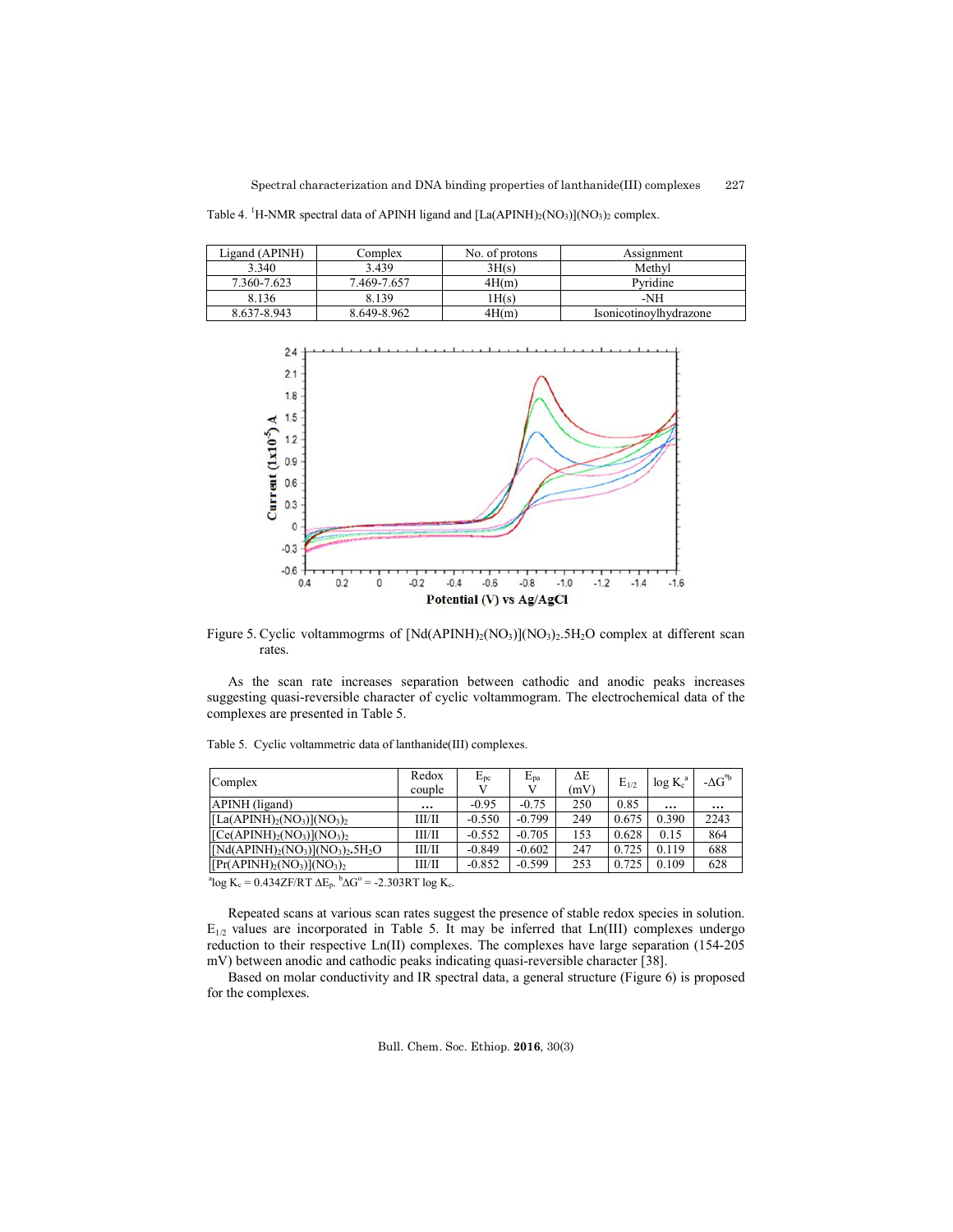Table 4. <sup>1</sup>H-NMR spectral data of APINH ligand and  $[La(APINH)_2(NO_3)](NO_3)_2$  complex.

| Ligand (APINH) | Complex     | No. of protons | Assignment             |
|----------------|-------------|----------------|------------------------|
| 3.340          | 3.439       | 3H(s)          | Methyl                 |
| 7.360-7.623    | 7.469-7.657 | 4H(m)          | Pyridine               |
| 8.136          | 8.139       | 1H(s)          | -NH                    |
| 8.637-8.943    | 8.649-8.962 | 4H(m)          | Isonicotinovlhydrazone |



Figure 5. Cyclic voltammogrms of  $[Nd(APINH)<sub>2</sub>(NO<sub>3</sub>)](NO<sub>3</sub>)<sub>2</sub>$ .5H<sub>2</sub>O complex at different scan rates.

As the scan rate increases separation between cathodic and anodic peaks increases suggesting quasi-reversible character of cyclic voltammogram. The electrochemical data of the complexes are presented in Table 5.

| Complex                       | Redox<br>couple | $E_{pc}$ | $E_{pa}$ | ΔЕ<br>(mV) | $E_{1/2}$ | $\log K_c^a$ | - $\Delta G^{\circ b}$ |
|-------------------------------|-----------------|----------|----------|------------|-----------|--------------|------------------------|
| APINH (ligand)                | $\cdots$        | $-0.95$  | $-0.75$  | 250        | 0.85      | $\cdots$     | $\cdots$               |
| $[La(APINH)2(NO3)](NO3)2$     | ШЛІ             | $-0.550$ | $-0.799$ | 249        | 0.675     | 0.390        | 2243                   |
| $[Ce(APINH)2(NO3)](NO3)2$     | ШЛІ             | $-0.552$ | $-0.705$ | 153        | 0.628     | 0.15         | 864                    |
| $[Nd(APINH)2(NO3)](NO3)25H2O$ | ШЛІ             | $-0.849$ | $-0.602$ | 247        | 0.725     | 0.119        | 688                    |
| $[Pr(APINH)2(NO3)](NO3)2$     | ШЛІ             | $-0.852$ | $-0.599$ | 253        | 0.725     | 0.109        | 628                    |

Table 5.Cyclic voltammetric data of lanthanide(III) complexes.

<sup>a</sup>log K<sub>c</sub> = 0.434ZF/RT  $\Delta E_p$ . <sup>b</sup> $\Delta G^{\circ}$  = -2.303RT log K<sub>c</sub>.

Repeated scans at various scan rates suggest the presence of stable redox species in solution.  $E_{1/2}$  values are incorporated in Table 5. It may be inferred that Ln(III) complexes undergo reduction to their respective Ln(II) complexes. The complexes have large separation (154-205 mV) between anodic and cathodic peaks indicating quasi-reversible character [38].

Based on molar conductivity and IR spectral data, a general structure (Figure 6) is proposed for the complexes.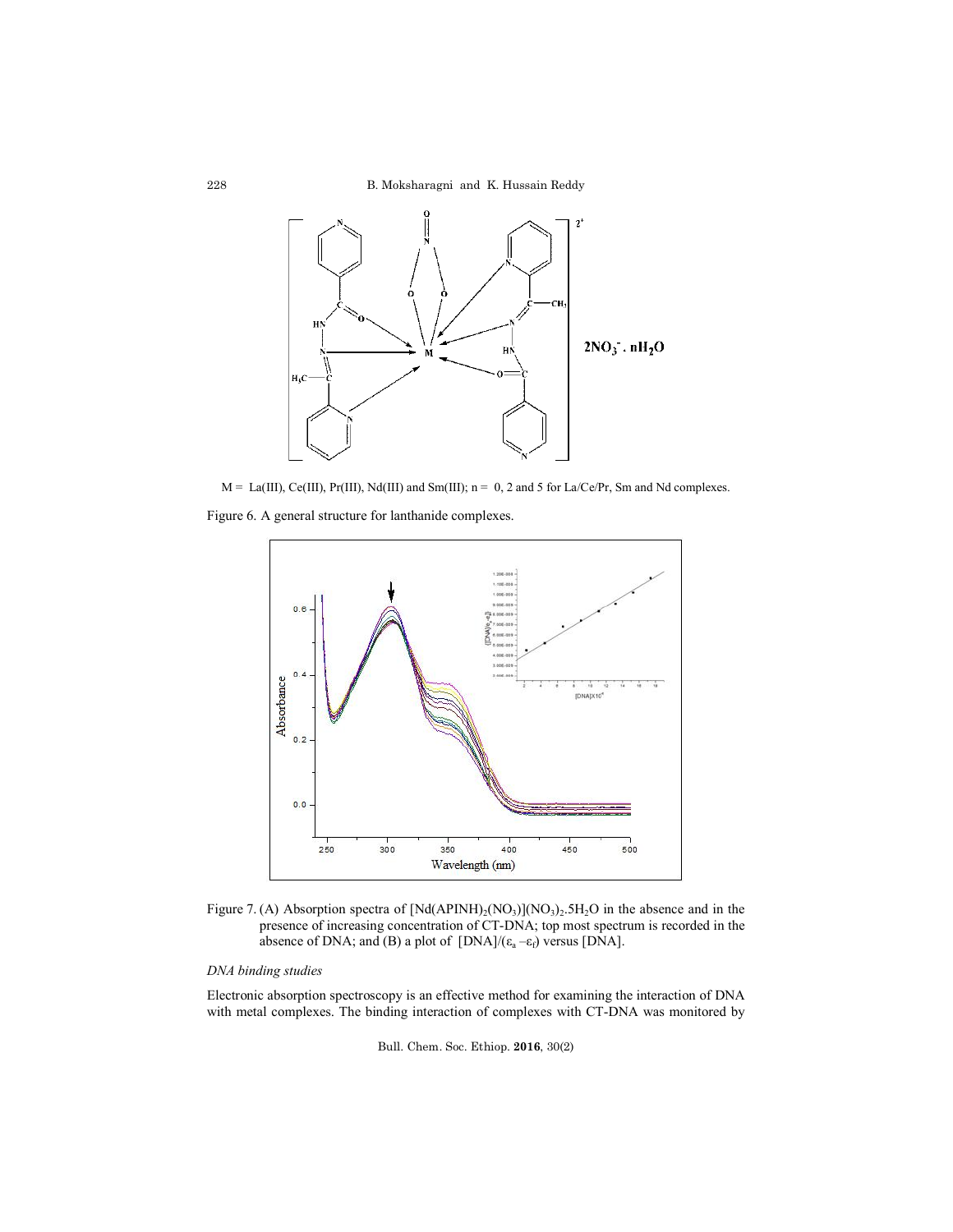B. Moksharagni and K. Hussain Reddy



 $M = La(III), Ce(III), Pr(III), Nd(III)$  and  $Sm(III); n = 0, 2$  and 5 for La/Ce/Pr, Sm and Nd complexes.

Figure 6. A general structure for lanthanide complexes.



Figure 7. (A) Absorption spectra of  $[Nd(APINH)<sub>2</sub>(NO<sub>3</sub>)](NO<sub>3</sub>)<sub>2</sub>$ . 5H<sub>2</sub>O in the absence and in the presence of increasing concentration of CT-DNA; top most spectrum is recorded in the absence of DNA; and (B) a plot of  $[DNA]/(\varepsilon_a - \varepsilon_f)$  versus  $[DNA]$ .

# *DNA binding studies*

Electronic absorption spectroscopy is an effective method for examining the interaction of DNA with metal complexes. The binding interaction of complexes with CT-DNA was monitored by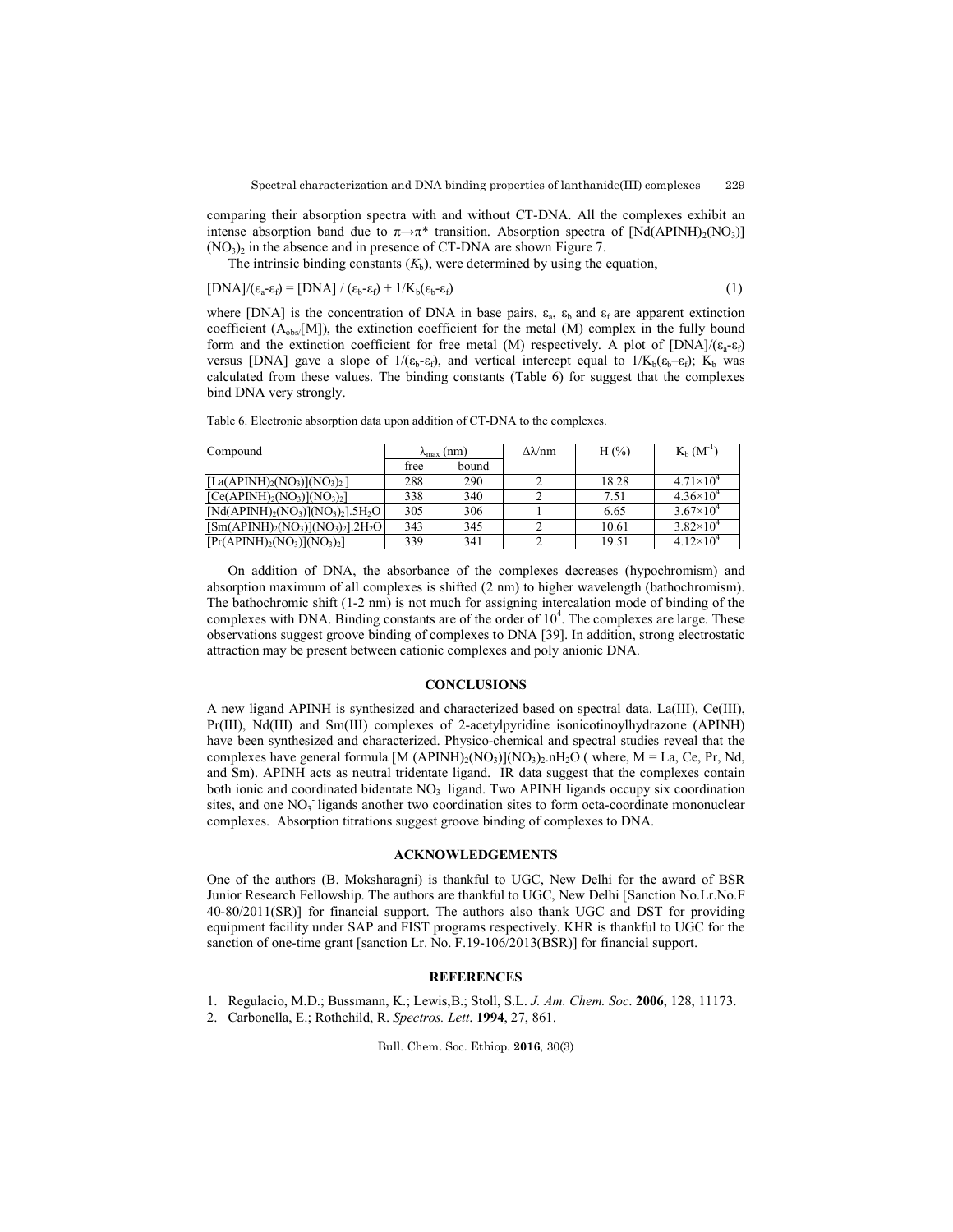comparing their absorption spectra with and without CT-DNA. All the complexes exhibit an intense absorption band due to  $\pi \rightarrow \pi^*$  transition. Absorption spectra of [Nd(APINH)<sub>2</sub>(NO<sub>3</sub>)]  $(NO<sub>3</sub>)<sub>2</sub>$  in the absence and in presence of CT-DNA are shown Figure 7.

The intrinsic binding constants  $(K_b)$ , were determined by using the equation,

$$
[DNA]/(\varepsilon_a - \varepsilon_f) = [DNA]/(\varepsilon_b - \varepsilon_f) + 1/K_b(\varepsilon_b - \varepsilon_f)
$$
\n(1)

where [DNA] is the concentration of DNA in base pairs,  $\varepsilon_a$ ,  $\varepsilon_b$  and  $\varepsilon_f$  are apparent extinction coefficient (Aobs/[M]), the extinction coefficient for the metal (M) complex in the fully bound form and the extinction coefficient for free metal (M) respectively. A plot of  $[DNA]/(\varepsilon_a-\varepsilon_f)$ versus [DNA] gave a slope of  $1/( \epsilon_b - \epsilon_f)$ , and vertical intercept equal to  $1/K_b(\epsilon_b - \epsilon_f)$ ; K<sub>b</sub> was calculated from these values. The binding constants (Table 6) for suggest that the complexes bind DNA very strongly.

| Compound                        | $\lambda_{\text{max}}$ (nm) |     | $\Delta \lambda / nm$ | H $(\% )$ | $K_b$ $(M^{-1})$   |
|---------------------------------|-----------------------------|-----|-----------------------|-----------|--------------------|
|                                 | free<br>bound               |     |                       |           |                    |
| $[La(APINH)2(NO3)](NO3)2]$      | 288                         | 290 |                       | 18.28     | $4.71\times10^{4}$ |
| $[Ce(APINH)2(NO3)](NO3)2]$      | 338                         | 340 |                       | 7.51      | $4.36\times10^{4}$ |
| $[Nd(APINH)2(NO3)](NO3)2].5H2O$ | 305                         | 306 |                       | 6.65      | $3.67\times10^{4}$ |
| $[Sm(APINH)2(NO3)](NO3)2].2H2O$ | 343                         | 345 |                       | 10.61     | $3.82\times10^{4}$ |
| $[Pr(APINH)2(NO3)](NO3)2]$      | 339                         | 341 |                       | 19.51     | $4.12\times10^{4}$ |

Table 6. Electronic absorption data upon addition of CT-DNA to the complexes.

On addition of DNA, the absorbance of the complexes decreases (hypochromism) and absorption maximum of all complexes is shifted (2 nm) to higher wavelength (bathochromism). The bathochromic shift (1-2 nm) is not much for assigning intercalation mode of binding of the complexes with DNA. Binding constants are of the order of  $10<sup>4</sup>$ . The complexes are large. These observations suggest groove binding of complexes to DNA [39]. In addition, strong electrostatic attraction may be present between cationic complexes and poly anionic DNA.

## **CONCLUSIONS**

A new ligand APINH is synthesized and characterized based on spectral data. La(III), Ce(III), Pr(III), Nd(III) and Sm(III) complexes of 2-acetylpyridine isonicotinoylhydrazone (APINH) have been synthesized and characterized. Physico-chemical and spectral studies reveal that the complexes have general formula  $[M (APINH)<sub>2</sub>(NO<sub>3</sub>)](NO<sub>3</sub>)<sub>2</sub>.nH<sub>2</sub>O (where, M = La, Ce, Pr, Nd,$ and Sm). APINH acts as neutral tridentate ligand. IR data suggest that the complexes contain both ionic and coordinated bidentate NO<sub>3</sub> ligand. Two APINH ligands occupy six coordination sites, and one NO<sub>3</sub> ligands another two coordination sites to form octa-coordinate mononuclear complexes. Absorption titrations suggest groove binding of complexes to DNA.

## **ACKNOWLEDGEMENTS**

One of the authors (B. Moksharagni) is thankful to UGC, New Delhi for the award of BSR Junior Research Fellowship. The authors are thankful to UGC, New Delhi [Sanction No.Lr.No.F 40-80/2011(SR)] for financial support. The authors also thank UGC and DST for providing equipment facility under SAP and FIST programs respectively. KHR is thankful to UGC for the sanction of one-time grant [sanction Lr. No. F.19-106/2013(BSR)] for financial support.

### **REFERENCES**

1. Regulacio, M.D.; Bussmann, K.; Lewis,B.; Stoll, S.L. *J. Am. Chem. Soc*. **2006**, 128, 11173.

2. Carbonella, E.; Rothchild, R. *Spectros. Lett*. **1994**, 27, 861.